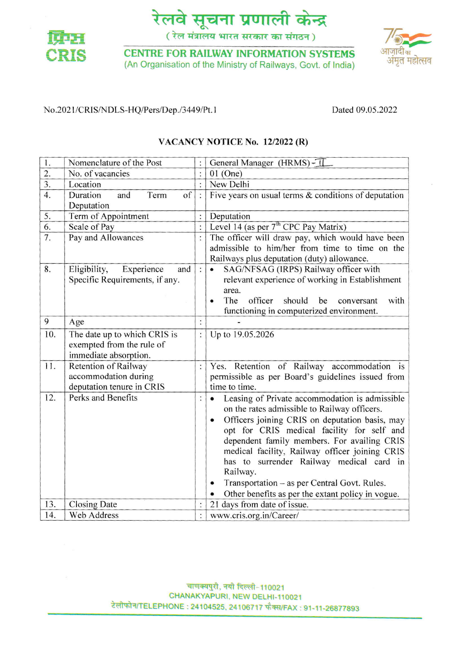



**CENTRE FOR RAILWAY INFORMATION SYSTEMS** (An Organisation of the Ministry of Railways, Govt. of lndia)



### No.2021/CRIS/NDLS-HQ/Pers/Dep./3449/Pt.1 Dated 09.05.2022

## VACANCY NOTICE No. 12/2022 (R)

| $\mathbf{l}$ .   | Nomenclature of the Post                    | :              | General Manager (HRMS) - II                                 |  |
|------------------|---------------------------------------------|----------------|-------------------------------------------------------------|--|
| 2.               | No. of vacancies                            | $\ddot{\cdot}$ | $01$ (One)                                                  |  |
| $\overline{3}$ . | Location                                    | $\vdots$       | New Delhi                                                   |  |
| 4.               | of<br>Duration<br>and<br>Term<br>Deputation | $\vdots$       | Five years on usual terms $&$ conditions of deputation      |  |
| 5.               | Term of Appointment                         | $\ddot{\cdot}$ | Deputation                                                  |  |
| 6.               | Scale of Pay                                | $\cdot$        | Level 14 (as per $7th$ CPC Pay Matrix)                      |  |
| $\overline{7}$ . | Pay and Allowances                          | $\ddot{\cdot}$ | The officer will draw pay, which would have been            |  |
|                  |                                             |                | admissible to him/her from time to time on the              |  |
|                  |                                             |                | Railways plus deputation (duty) allowance.                  |  |
| 8.               | Eligibility,<br>Experience<br>and           | $\colon$       | SAG/NFSAG (IRPS) Railway officer with                       |  |
|                  | Specific Requirements, if any.              |                | relevant experience of working in Establishment             |  |
|                  |                                             |                | area.                                                       |  |
|                  |                                             |                | The<br>officer<br>should<br>be<br>with<br>conversant        |  |
|                  |                                             |                | functioning in computerized environment.                    |  |
| 9                | Age                                         | :              |                                                             |  |
| 10.              | The date up to which CRIS is                | $\vdots$       | Up to 19.05.2026                                            |  |
|                  | exempted from the rule of                   |                |                                                             |  |
|                  | immediate absorption.                       |                |                                                             |  |
| 11.              | Retention of Railway                        | $\vdots$       | Yes. Retention of Railway accommodation is                  |  |
|                  | accommodation during                        |                | permissible as per Board's guidelines issued from           |  |
|                  | deputation tenure in CRIS                   |                | time to time.                                               |  |
| 12.              | Perks and Benefits                          | $\vdots$       | Leasing of Private accommodation is admissible<br>$\bullet$ |  |
|                  |                                             |                | on the rates admissible to Railway officers.                |  |
|                  |                                             |                | Officers joining CRIS on deputation basis, may<br>٠         |  |
|                  |                                             |                | opt for CRIS medical facility for self and                  |  |
|                  |                                             |                | dependent family members. For availing CRIS                 |  |
|                  |                                             |                | medical facility, Railway officer joining CRIS              |  |
|                  |                                             |                | has to surrender Railway medical card in                    |  |
|                  |                                             |                | Railway.                                                    |  |
|                  |                                             |                | Transportation - as per Central Govt. Rules.<br>$\bullet$   |  |
|                  |                                             |                | Other benefits as per the extant policy in vogue.           |  |
| 13.              | <b>Closing Date</b>                         |                | 21 days from date of issue.                                 |  |
| 14.              | Web Address                                 | $\vdots$       | www.cris.org.in/Career/                                     |  |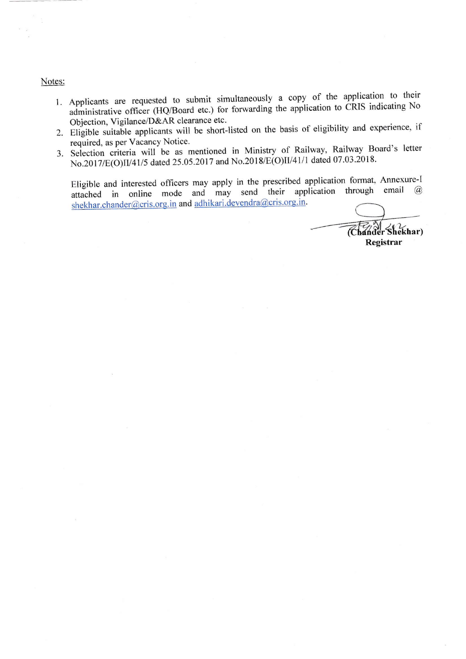#### Notes:

- 1. Applicants are requested to submit simultaneously a copy of the application to their administrative officer (HQ/Board etc.) for forwarding the application to CRIS indicating No Objection, Vigilance/D&AR clearance etc.
- 2. Eligible suitable applicants will be short-listed on the basis of eligibility and experience, if required, as per Vacancy Notice.
- 3. Selection criteria will be as mentioned in Ministry of Railway, Railway Board's letter No.2017/E(O)II/41/5 dated 25.05.2017 and No.2018/E(O)II/41/1 dated 07.03.2018.

Eligible and interested officers may apply in the prescribed application format, Annexure-I attached in online mode and may send their application through email @ shekhar.chander@cris.org.in and adhikari.devendra@cris.org.in.

Chander Shekhar) Registrar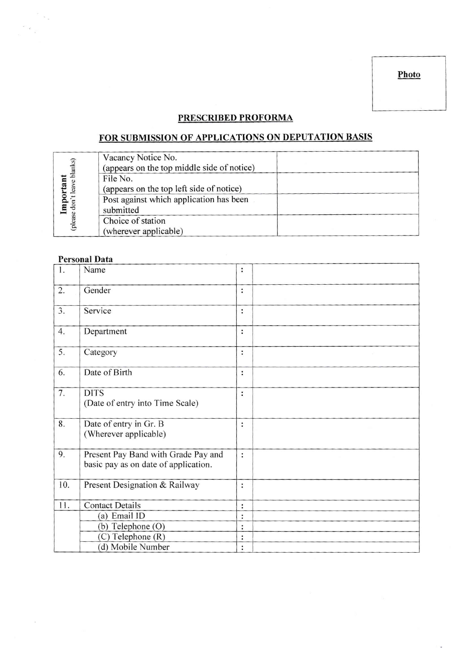Photo

## PRESCRIBED PROFORMA

# FOR SUBMISSION OF APPLICATIONS ON DEPUTATION BASIS

| blanks)    | Vacancy Notice No.<br>(appears on the top middle side of notice) |  |
|------------|------------------------------------------------------------------|--|
|            | File No.                                                         |  |
|            | (appears on the top left side of notice)                         |  |
|            | Post against which application has been                          |  |
| lmp<br>don | submitted                                                        |  |
| (please    | Choice of station                                                |  |
|            | (wherever applicable)                                            |  |

## Personal Data

 $\frac{1}{\beta}$  ,  $\frac{1}{\beta}$ 

 $\begin{array}{c} \frac{1}{2} \left( \begin{array}{cc} 0 & 0 \\ 0 & 0 \\ 0 & 0 \end{array} \right) \end{array}$ 

| 1.  | Name                                                                        | $\vdots$       |  |
|-----|-----------------------------------------------------------------------------|----------------|--|
| 2.  | Gender                                                                      | $\colon$       |  |
| 3.  | Service                                                                     | $\ddot{\cdot}$ |  |
| 4.  | Department                                                                  | :              |  |
| 5.  | Category                                                                    | :              |  |
| 6.  | Date of Birth                                                               | :              |  |
| 7.  | <b>DITS</b><br>(Date of entry into Time Scale)                              | $\ddot{\cdot}$ |  |
| 8.  | Date of entry in Gr. B<br>(Wherever applicable)                             | $\ddot{\cdot}$ |  |
| 9.  | Present Pay Band with Grade Pay and<br>basic pay as on date of application. | $\ddot{\cdot}$ |  |
| 10. | Present Designation & Railway                                               | :              |  |
| 11. | <b>Contact Details</b>                                                      | :              |  |
|     | (a) Email ID                                                                | $\ddot{\cdot}$ |  |
|     | $(b)$ Telephone $(O)$                                                       | $\vdots$       |  |
|     | (C) Telephone (R)                                                           | $\ddot{\cdot}$ |  |
|     | (d) Mobile Number                                                           | $\vdots$       |  |